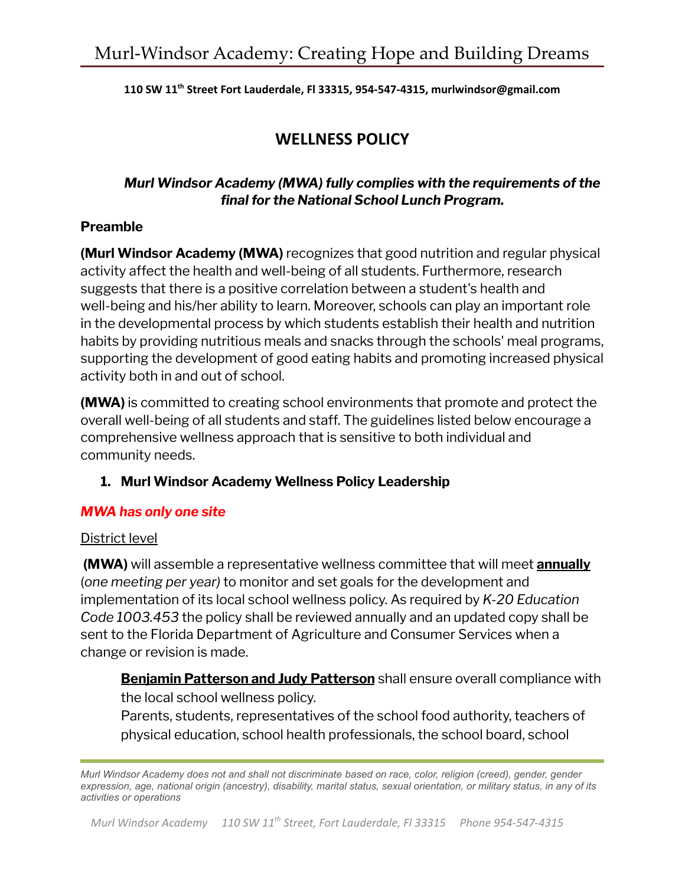**110 SW 11 th Street Fort Lauderdale, Fl 33315, 954-547-4315, murlwindsor@gmail.com**

# **WELLNESS POLICY**

## *Murl Windsor Academy (MWA) fully complies with the requirements of the final for the National School Lunch Program.*

#### **Preamble**

**(Murl Windsor Academy (MWA)** recognizes that good nutrition and regular physical activity affect the health and well-being of all students. Furthermore, research suggests that there is a positive correlation between a student's health and well-being and his/her ability to learn. Moreover, schools can play an important role in the developmental process by which students establish their health and nutrition habits by providing nutritious meals and snacks through the schools' meal programs, supporting the development of good eating habits and promoting increased physical activity both in and out of school.

**(MWA)** is committed to creating school environments that promote and protect the overall well-being of all students and staff. The guidelines listed below encourage a comprehensive wellness approach that is sensitive to both individual and community needs.

#### **1. Murl Windsor Academy Wellness Policy Leadership**

#### *MWA has only one site*

#### District level

**(MWA)** will assemble a representative wellness committee that will meet **annually** (*one meeting per year)* to monitor and set goals for the development and implementation of its local school wellness policy. As required by *K-20 Education Code 1003.453* the policy shall be reviewed annually and an updated copy shall be sent to the Florida Department of Agriculture and Consumer Services when a change or revision is made.

**Benjamin Patterson and Judy Patterson** shall ensure overall compliance with the local school wellness policy.

Parents, students, representatives of the school food authority, teachers of physical education, school health professionals, the school board, school

*Murl Windsor Academy does not and shall not discriminate based on race, color, religion (creed), gender, gender expression, age, national origin (ancestry), disability, marital status, sexual orientation, or military status, in any of its activities or operations*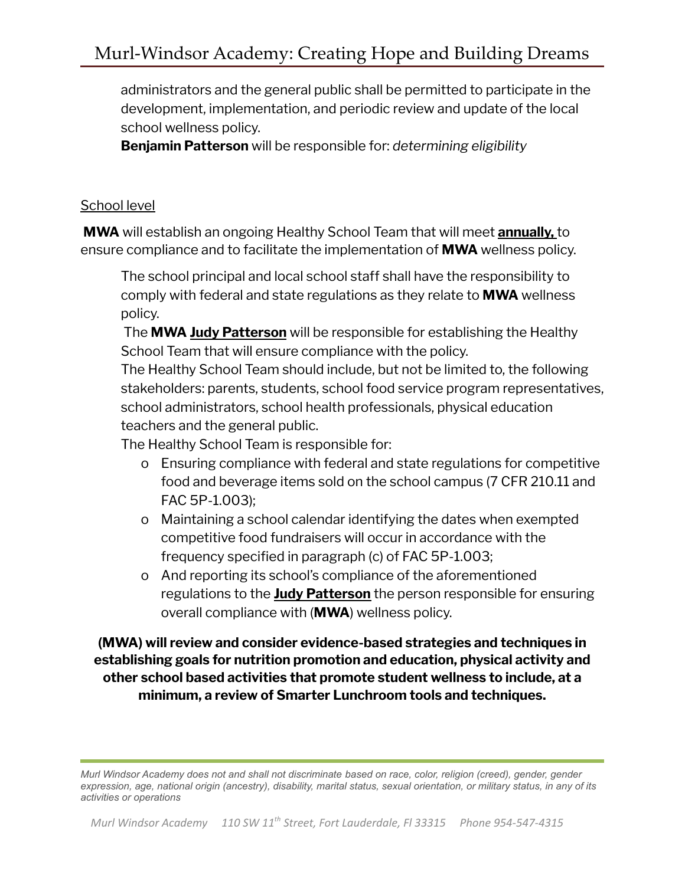administrators and the general public shall be permitted to participate in the development, implementation, and periodic review and update of the local school wellness policy.

**Benjamin Patterson** will be responsible for: *determining eligibility*

#### School level

**MWA** will establish an ongoing Healthy School Team that will meet **annually,** to ensure compliance and to facilitate the implementation of **MWA** wellness policy.

The school principal and local school staff shall have the responsibility to comply with federal and state regulations as they relate to **MWA** wellness policy.

The **MWA Judy Patterson** will be responsible for establishing the Healthy School Team that will ensure compliance with the policy.

The Healthy School Team should include, but not be limited to, the following stakeholders: parents, students, school food service program representatives, school administrators, school health professionals, physical education teachers and the general public.

The Healthy School Team is responsible for:

- o Ensuring compliance with federal and state regulations for competitive food and beverage items sold on the school campus (7 CFR 210.11 and FAC 5P-1.003);
- o Maintaining a school calendar identifying the dates when exempted competitive food fundraisers will occur in accordance with the frequency specified in paragraph (c) of FAC 5P-1.003;
- o And reporting its school's compliance of the aforementioned regulations to the **Judy Patterson** the person responsible for ensuring overall compliance with (**MWA**) wellness policy.

**(MWA) will review and consider evidence-based strategies and techniques in establishing goals for nutrition promotion and education, physical activity and other school based activities that promote student wellness to include, at a minimum, a review of Smarter Lunchroom tools and techniques.**

*Murl Windsor Academy does not and shall not discriminate based on race, color, religion (creed), gender, gender expression, age, national origin (ancestry), disability, marital status, sexual orientation, or military status, in any of its activities or operations*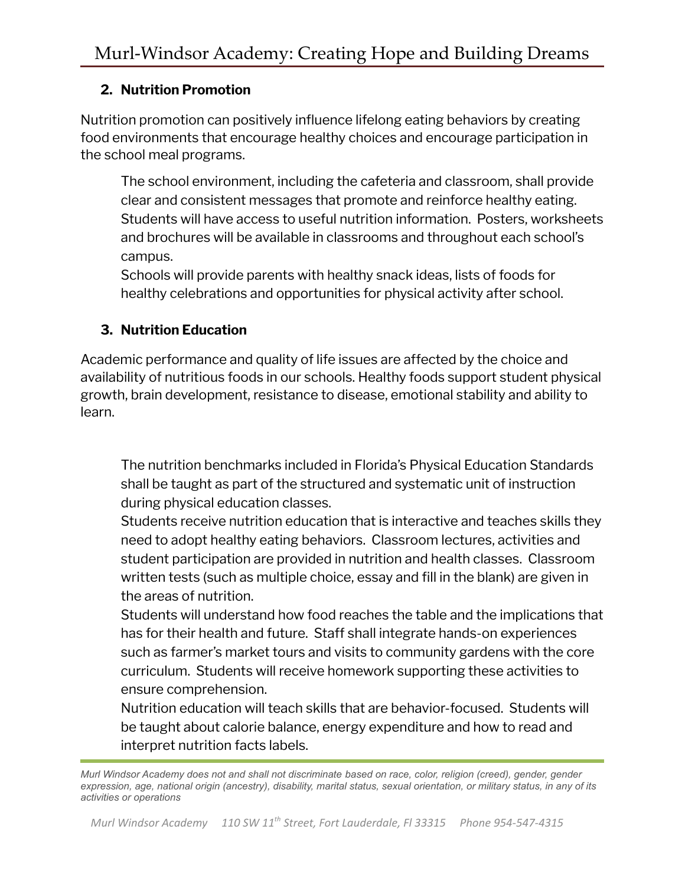#### **2. Nutrition Promotion**

Nutrition promotion can positively influence lifelong eating behaviors by creating food environments that encourage healthy choices and encourage participation in the school meal programs.

The school environment, including the cafeteria and classroom, shall provide clear and consistent messages that promote and reinforce healthy eating. Students will have access to useful nutrition information. Posters, worksheets and brochures will be available in classrooms and throughout each school's campus.

Schools will provide parents with healthy snack ideas, lists of foods for healthy celebrations and opportunities for physical activity after school.

## **3. Nutrition Education**

Academic performance and quality of life issues are affected by the choice and availability of nutritious foods in our schools. Healthy foods support student physical growth, brain development, resistance to disease, emotional stability and ability to learn.

The nutrition benchmarks included in Florida's Physical Education Standards shall be taught as part of the structured and systematic unit of instruction during physical education classes.

Students receive nutrition education that is interactive and teaches skills they need to adopt healthy eating behaviors. Classroom lectures, activities and student participation are provided in nutrition and health classes. Classroom written tests (such as multiple choice, essay and fill in the blank) are given in the areas of nutrition.

Students will understand how food reaches the table and the implications that has for their health and future. Staff shall integrate hands-on experiences such as farmer's market tours and visits to community gardens with the core curriculum. Students will receive homework supporting these activities to ensure comprehension.

Nutrition education will teach skills that are behavior-focused. Students will be taught about calorie balance, energy expenditure and how to read and interpret nutrition facts labels.

*Murl Windsor Academy does not and shall not discriminate based on race, color, religion (creed), gender, gender expression, age, national origin (ancestry), disability, marital status, sexual orientation, or military status, in any of its activities or operations*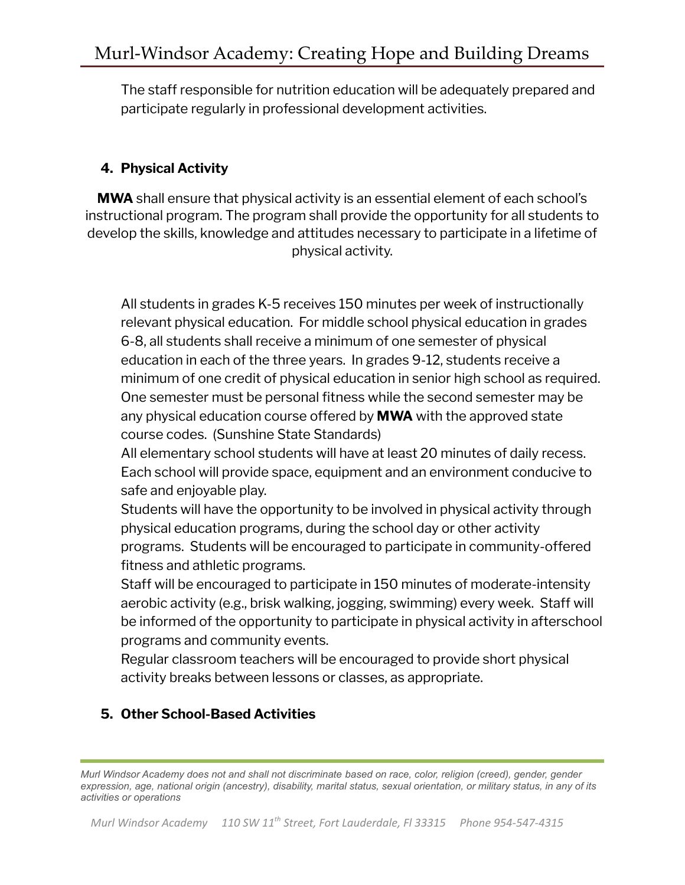The staff responsible for nutrition education will be adequately prepared and participate regularly in professional development activities.

# **4. Physical Activity**

**MWA** shall ensure that physical activity is an essential element of each school's instructional program. The program shall provide the opportunity for all students to develop the skills, knowledge and attitudes necessary to participate in a lifetime of physical activity.

All students in grades K-5 receives 150 minutes per week of instructionally relevant physical education. For middle school physical education in grades 6-8, all students shall receive a minimum of one semester of physical education in each of the three years. In grades 9-12, students receive a minimum of one credit of physical education in senior high school as required. One semester must be personal fitness while the second semester may be any physical education course offered by **MWA** with the approved state course codes. (Sunshine State Standards)

All elementary school students will have at least 20 minutes of daily recess. Each school will provide space, equipment and an environment conducive to safe and enjoyable play.

Students will have the opportunity to be involved in physical activity through physical education programs, during the school day or other activity programs. Students will be encouraged to participate in community-offered fitness and athletic programs.

Staff will be encouraged to participate in 150 minutes of moderate-intensity aerobic activity (e.g., brisk walking, jogging, swimming) every week. Staff will be informed of the opportunity to participate in physical activity in afterschool programs and community events.

Regular classroom teachers will be encouraged to provide short physical activity breaks between lessons or classes, as appropriate.

## **5. Other School-Based Activities**

*Murl Windsor Academy does not and shall not discriminate based on race, color, religion (creed), gender, gender expression, age, national origin (ancestry), disability, marital status, sexual orientation, or military status, in any of its activities or operations*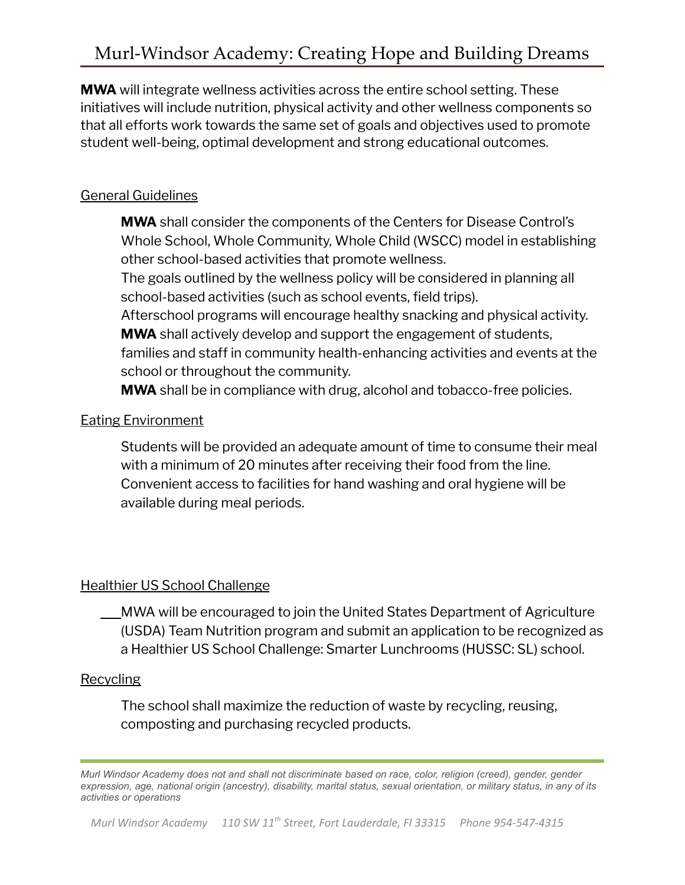**MWA** will integrate wellness activities across the entire school setting. These initiatives will include nutrition, physical activity and other wellness components so that all efforts work towards the same set of goals and objectives used to promote student well-being, optimal development and strong educational outcomes.

## General Guidelines

**MWA** shall consider the components of the Centers for Disease Control's Whole School, Whole Community, Whole Child (WSCC) model in establishing other school-based activities that promote wellness.

The goals outlined by the wellness policy will be considered in planning all school-based activities (such as school events, field trips).

Afterschool programs will encourage healthy snacking and physical activity. **MWA** shall actively develop and support the engagement of students, families and staff in community health-enhancing activities and events at the school or throughout the community.

**MWA** shall be in compliance with drug, alcohol and tobacco-free policies.

## Eating Environment

Students will be provided an adequate amount of time to consume their meal with a minimum of 20 minutes after receiving their food from the line. Convenient access to facilities for hand washing and oral hygiene will be available during meal periods.

## Healthier US School Challenge

MWA will be encouraged to join the United States Department of Agriculture (USDA) Team Nutrition program and submit an application to be recognized as a Healthier US School Challenge: Smarter Lunchrooms (HUSSC: SL) school.

## **Recycling**

The school shall maximize the reduction of waste by recycling, reusing, composting and purchasing recycled products.

*Murl Windsor Academy does not and shall not discriminate based on race, color, religion (creed), gender, gender expression, age, national origin (ancestry), disability, marital status, sexual orientation, or military status, in any of its activities or operations*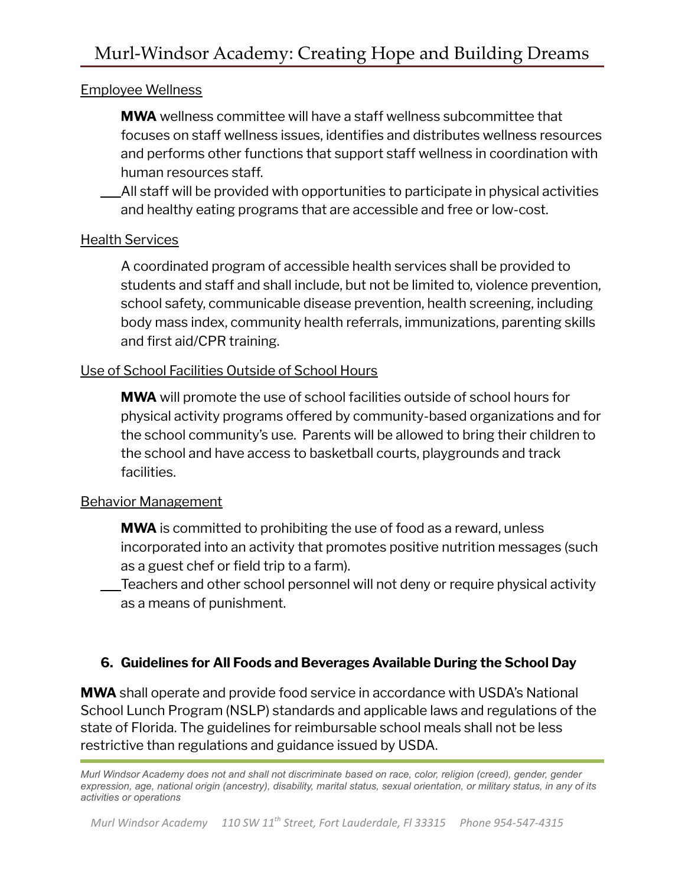#### Employee Wellness

**MWA** wellness committee will have a staff wellness subcommittee that focuses on staff wellness issues, identifies and distributes wellness resources and performs other functions that support staff wellness in coordination with human resources staff.

All staff will be provided with opportunities to participate in physical activities and healthy eating programs that are accessible and free or low-cost.

#### Health Services

A coordinated program of accessible health services shall be provided to students and staff and shall include, but not be limited to, violence prevention, school safety, communicable disease prevention, health screening, including body mass index, community health referrals, immunizations, parenting skills and first aid/CPR training.

#### Use of School Facilities Outside of School Hours

**MWA** will promote the use of school facilities outside of school hours for physical activity programs offered by community-based organizations and for the school community's use. Parents will be allowed to bring their children to the school and have access to basketball courts, playgrounds and track facilities.

#### Behavior Management

**MWA** is committed to prohibiting the use of food as a reward, unless incorporated into an activity that promotes positive nutrition messages (such as a guest chef or field trip to a farm).

Teachers and other school personnel will not deny or require physical activity as a means of punishment.

#### **6. Guidelines for All Foods and Beverages Available During the School Day**

**MWA** shall operate and provide food service in accordance with USDA's National School Lunch Program (NSLP) standards and applicable laws and regulations of the state of Florida. The guidelines for reimbursable school meals shall not be less restrictive than regulations and guidance issued by USDA.

*Murl Windsor Academy does not and shall not discriminate based on race, color, religion (creed), gender, gender expression, age, national origin (ancestry), disability, marital status, sexual orientation, or military status, in any of its activities or operations*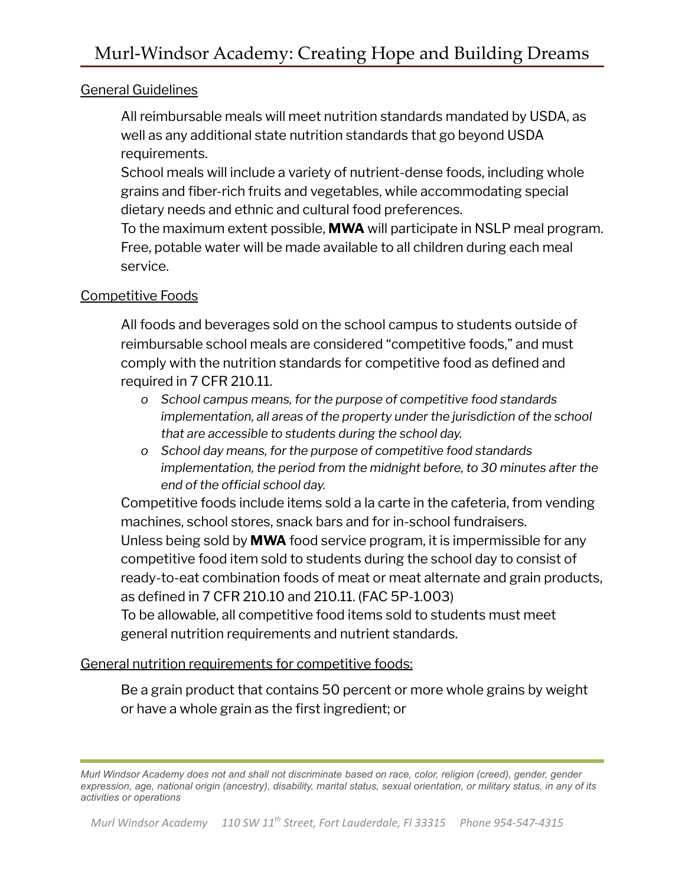#### General Guidelines

All reimbursable meals will meet nutrition standards mandated by USDA, as well as any additional state nutrition standards that go beyond USDA requirements.

School meals will include a variety of nutrient-dense foods, including whole grains and fiber-rich fruits and vegetables, while accommodating special dietary needs and ethnic and cultural food preferences.

To the maximum extent possible, **MWA** will participate in NSLP meal program. Free, potable water will be made available to all children during each meal service.

#### Competitive Foods

All foods and beverages sold on the school campus to students outside of reimbursable school meals are considered "competitive foods," and must comply with the nutrition standards for competitive food as defined and required in 7 CFR 210.11.

- *o School campus means, for the purpose of competitive food standards implementation, all areas of the property under the jurisdiction of the school that are accessible to students during the school day.*
- *o School day means, for the purpose of competitive food standards implementation, the period from the midnight before, to 30 minutes after the end of the official school day.*

Competitive foods include items sold a la carte in the cafeteria, from vending machines, school stores, snack bars and for in-school fundraisers. Unless being sold by **MWA** food service program, it is impermissible for any competitive food item sold to students during the school day to consist of ready-to-eat combination foods of meat or meat alternate and grain products, as defined in 7 CFR 210.10 and 210.11. (FAC 5P-1.003) To be allowable, all competitive food items sold to students must meet

# General nutrition requirements for competitive foods:

general nutrition requirements and nutrient standards.

Be a grain product that contains 50 percent or more whole grains by weight or have a whole grain as the first ingredient; or

*Murl Windsor Academy does not and shall not discriminate based on race, color, religion (creed), gender, gender expression, age, national origin (ancestry), disability, marital status, sexual orientation, or military status, in any of its activities or operations*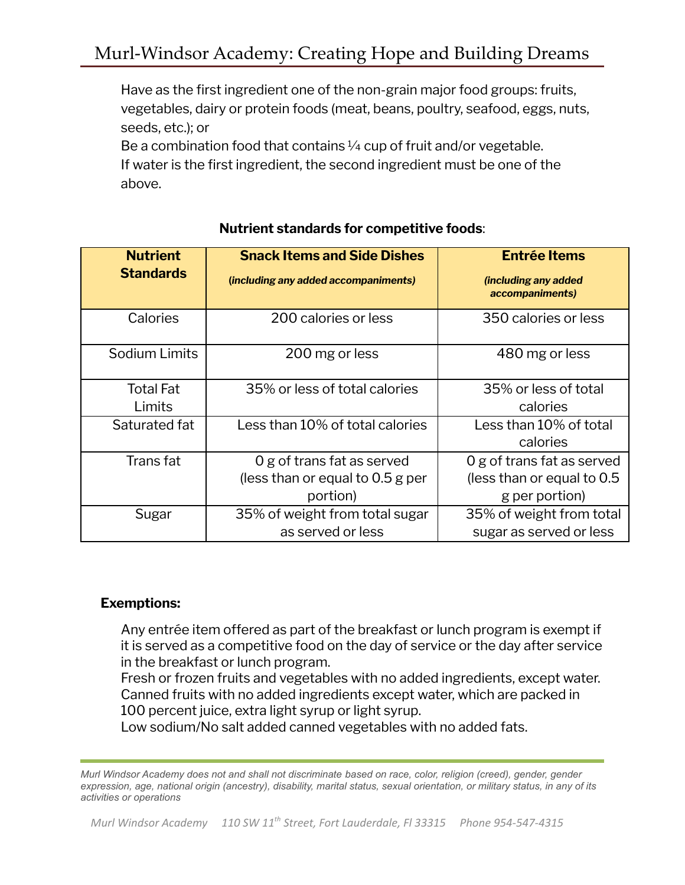Have as the first ingredient one of the non-grain major food groups: fruits, vegetables, dairy or protein foods (meat, beans, poultry, seafood, eggs, nuts, seeds, etc.); or

Be a combination food that contains  $\frac{1}{4}$  cup of fruit and/or vegetable. If water is the first ingredient, the second ingredient must be one of the above.

| <b>Nutrient</b>            | <b>Snack Items and Side Dishes</b>   | <b>Entrée Items</b>                     |  |
|----------------------------|--------------------------------------|-----------------------------------------|--|
| <b>Standards</b>           | (including any added accompaniments) | (including any added<br>accompaniments) |  |
| Calories                   | 200 calories or less                 | 350 calories or less                    |  |
| Sodium Limits              | 200 mg or less                       | 480 mg or less                          |  |
| <b>Total Fat</b><br>Limits | 35% or less of total calories        | 35% or less of total<br>calories        |  |
| Saturated fat              | Less than 10% of total calories      | Less than 10% of total<br>calories      |  |
| Trans fat                  | 0 g of trans fat as served           | 0 g of trans fat as served              |  |
|                            | (less than or equal to 0.5 g per     | (less than or equal to 0.5)             |  |
|                            | portion)                             | g per portion)                          |  |
| Sugar                      | 35% of weight from total sugar       | 35% of weight from total                |  |
|                            | as served or less                    | sugar as served or less                 |  |

## **Nutrient standards for competitive foods**:

#### **Exemptions:**

Any entrée item offered as part of the breakfast or lunch program is exempt if it is served as a competitive food on the day of service or the day after service in the breakfast or lunch program.

Fresh or frozen fruits and vegetables with no added ingredients, except water. Canned fruits with no added ingredients except water, which are packed in 100 percent juice, extra light syrup or light syrup.

Low sodium/No salt added canned vegetables with no added fats.

*Murl Windsor Academy does not and shall not discriminate based on race, color, religion (creed), gender, gender expression, age, national origin (ancestry), disability, marital status, sexual orientation, or military status, in any of its activities or operations*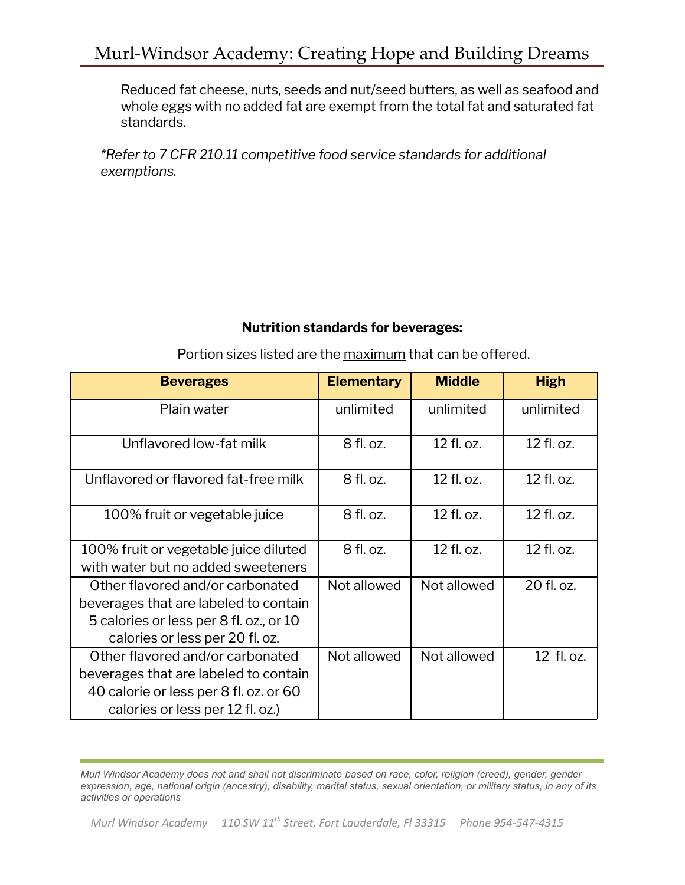Reduced fat cheese, nuts, seeds and nut/seed butters, as well as seafood and whole eggs with no added fat are exempt from the total fat and saturated fat standards.

*\*Refer to 7 CFR 210.11 competitive food service standards for additional exemptions.*

## **Nutrition standards for beverages:**

Portion sizes listed are the maximum that can be offered.

**Beverages Elementary Middle High**

| povorugos                                                                                                                                               | ыспонсигу   |             | .          |
|---------------------------------------------------------------------------------------------------------------------------------------------------------|-------------|-------------|------------|
| Plain water                                                                                                                                             | unlimited   | unlimited   | unlimited  |
| Unflavored low-fat milk                                                                                                                                 | 8 fl. oz.   | 12 fl. oz.  | 12 fl. oz. |
| Unflavored or flavored fat-free milk                                                                                                                    | 8 fl. oz.   | 12 fl. oz.  | 12 fl. oz. |
| 100% fruit or vegetable juice                                                                                                                           | 8 fl. oz.   | 12 fl. oz.  | 12 fl. oz. |
| 100% fruit or vegetable juice diluted<br>with water but no added sweeteners                                                                             | 8 fl. oz.   | 12 fl. oz.  | 12 fl. oz. |
| Other flavored and/or carbonated<br>beverages that are labeled to contain<br>5 calories or less per 8 fl. oz., or 10<br>calories or less per 20 fl. oz. | Not allowed | Not allowed | 20 fl. oz. |
| Other flavored and/or carbonated<br>beverages that are labeled to contain<br>40 calorie or less per 8 fl. oz. or 60<br>calories or less per 12 fl. oz.) | Not allowed | Not allowed | 12 fl. oz. |

*Murl Windsor Academy does not and shall not discriminate based on race, color, religion (creed), gender, gender expression, age, national origin (ancestry), disability, marital status, sexual orientation, or military status, in any of its activities or operations*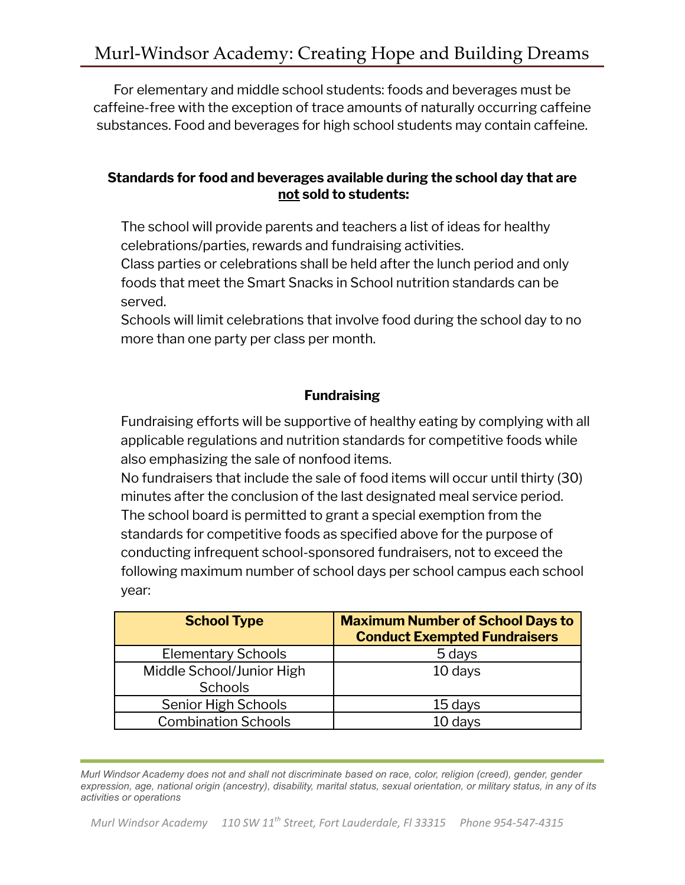For elementary and middle school students: foods and beverages must be caffeine-free with the exception of trace amounts of naturally occurring caffeine substances. Food and beverages for high school students may contain caffeine.

#### **Standards for food and beverages available during the school day that are not sold to students:**

The school will provide parents and teachers a list of ideas for healthy celebrations/parties, rewards and fundraising activities.

Class parties or celebrations shall be held after the lunch period and only foods that meet the Smart Snacks in School nutrition standards can be served.

Schools will limit celebrations that involve food during the school day to no more than one party per class per month.

## **Fundraising**

Fundraising efforts will be supportive of healthy eating by complying with all applicable regulations and nutrition standards for competitive foods while also emphasizing the sale of nonfood items.

No fundraisers that include the sale of food items will occur until thirty (30) minutes after the conclusion of the last designated meal service period. The school board is permitted to grant a special exemption from the standards for competitive foods as specified above for the purpose of conducting infrequent school-sponsored fundraisers, not to exceed the following maximum number of school days per school campus each school year:

| <b>School Type</b>                          | <b>Maximum Number of School Days to</b><br><b>Conduct Exempted Fundraisers</b> |
|---------------------------------------------|--------------------------------------------------------------------------------|
| <b>Elementary Schools</b>                   | 5 days                                                                         |
| Middle School/Junior High<br><b>Schools</b> | 10 days                                                                        |
| Senior High Schools                         | 15 days                                                                        |
| <b>Combination Schools</b>                  | 10 days                                                                        |

*Murl Windsor Academy does not and shall not discriminate based on race, color, religion (creed), gender, gender expression, age, national origin (ancestry), disability, marital status, sexual orientation, or military status, in any of its activities or operations*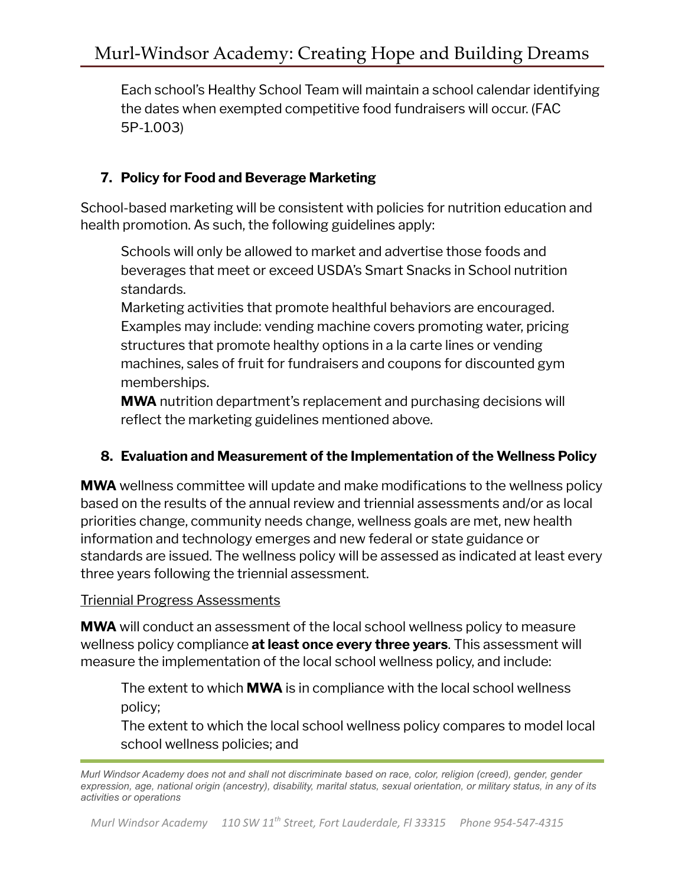Each school's Healthy School Team will maintain a school calendar identifying the dates when exempted competitive food fundraisers will occur. (FAC 5P-1.003)

# **7. Policy for Food and Beverage Marketing**

School-based marketing will be consistent with policies for nutrition education and health promotion. As such, the following guidelines apply:

Schools will only be allowed to market and advertise those foods and beverages that meet or exceed USDA's Smart Snacks in School nutrition standards.

Marketing activities that promote healthful behaviors are encouraged. Examples may include: vending machine covers promoting water, pricing structures that promote healthy options in a la carte lines or vending machines, sales of fruit for fundraisers and coupons for discounted gym memberships.

**MWA** nutrition department's replacement and purchasing decisions will reflect the marketing guidelines mentioned above.

## **8. Evaluation and Measurement of the Implementation of the Wellness Policy**

**MWA** wellness committee will update and make modifications to the wellness policy based on the results of the annual review and triennial assessments and/or as local priorities change, community needs change, wellness goals are met, new health information and technology emerges and new federal or state guidance or standards are issued. The wellness policy will be assessed as indicated at least every three years following the triennial assessment.

#### Triennial Progress Assessments

**MWA** will conduct an assessment of the local school wellness policy to measure wellness policy compliance **at least once every three years**. This assessment will measure the implementation of the local school wellness policy, and include:

The extent to which **MWA** is in compliance with the local school wellness policy;

The extent to which the local school wellness policy compares to model local school wellness policies; and

*Murl Windsor Academy does not and shall not discriminate based on race, color, religion (creed), gender, gender expression, age, national origin (ancestry), disability, marital status, sexual orientation, or military status, in any of its activities or operations*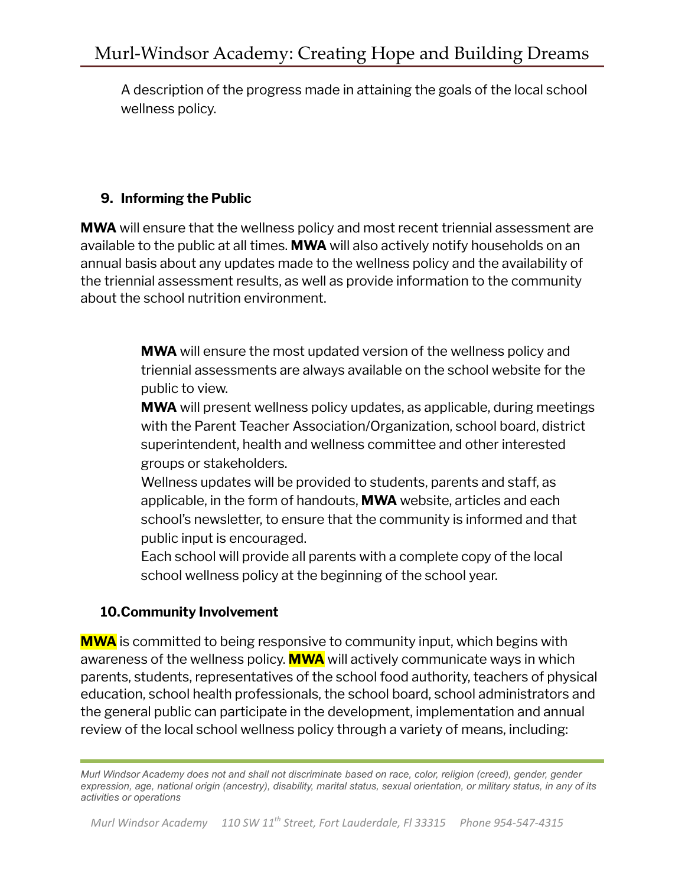A description of the progress made in attaining the goals of the local school wellness policy.

## **9. Informing the Public**

**MWA** will ensure that the wellness policy and most recent triennial assessment are available to the public at all times. **MWA** will also actively notify households on an annual basis about any updates made to the wellness policy and the availability of the triennial assessment results, as well as provide information to the community about the school nutrition environment.

> **MWA** will ensure the most updated version of the wellness policy and triennial assessments are always available on the school website for the public to view.

**MWA** will present wellness policy updates, as applicable, during meetings with the Parent Teacher Association/Organization, school board, district superintendent, health and wellness committee and other interested groups or stakeholders.

Wellness updates will be provided to students, parents and staff, as applicable, in the form of handouts, **MWA** website, articles and each school's newsletter, to ensure that the community is informed and that public input is encouraged.

Each school will provide all parents with a complete copy of the local school wellness policy at the beginning of the school year.

## **10.Community Involvement**

**MWA** is committed to being responsive to community input, which begins with awareness of the wellness policy. **MWA** will actively communicate ways in which parents, students, representatives of the school food authority, teachers of physical education, school health professionals, the school board, school administrators and the general public can participate in the development, implementation and annual review of the local school wellness policy through a variety of means, including:

*Murl Windsor Academy does not and shall not discriminate based on race, color, religion (creed), gender, gender expression, age, national origin (ancestry), disability, marital status, sexual orientation, or military status, in any of its activities or operations*